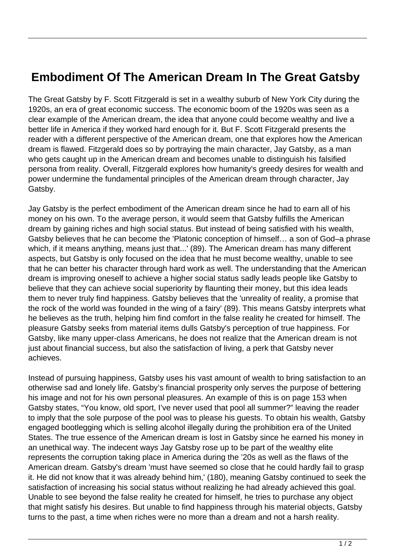## **Embodiment Of The American Dream In The Great Gatsby**

The Great Gatsby by F. Scott Fitzgerald is set in a wealthy suburb of New York City during the 1920s, an era of great economic success. The economic boom of the 1920s was seen as a clear example of the American dream, the idea that anyone could become wealthy and live a better life in America if they worked hard enough for it. But F. Scott Fitzgerald presents the reader with a different perspective of the American dream, one that explores how the American dream is flawed. Fitzgerald does so by portraying the main character, Jay Gatsby, as a man who gets caught up in the American dream and becomes unable to distinguish his falsified persona from reality. Overall, Fitzgerald explores how humanity's greedy desires for wealth and power undermine the fundamental principles of the American dream through character, Jay Gatsby.

Jay Gatsby is the perfect embodiment of the American dream since he had to earn all of his money on his own. To the average person, it would seem that Gatsby fulfills the American dream by gaining riches and high social status. But instead of being satisfied with his wealth, Gatsby believes that he can become the 'Platonic conception of himself… a son of God–a phrase which, if it means anything, means just that...' (89). The American dream has many different aspects, but Gatsby is only focused on the idea that he must become wealthy, unable to see that he can better his character through hard work as well. The understanding that the American dream is improving oneself to achieve a higher social status sadly leads people like Gatsby to believe that they can achieve social superiority by flaunting their money, but this idea leads them to never truly find happiness. Gatsby believes that the 'unreality of reality, a promise that the rock of the world was founded in the wing of a fairy' (89). This means Gatsby interprets what he believes as the truth, helping him find comfort in the false reality he created for himself. The pleasure Gatsby seeks from material items dulls Gatsby's perception of true happiness. For Gatsby, like many upper-class Americans, he does not realize that the American dream is not just about financial success, but also the satisfaction of living, a perk that Gatsby never achieves.

Instead of pursuing happiness, Gatsby uses his vast amount of wealth to bring satisfaction to an otherwise sad and lonely life. Gatsby's financial prosperity only serves the purpose of bettering his image and not for his own personal pleasures. An example of this is on page 153 when Gatsby states, "You know, old sport, I've never used that pool all summer?" leaving the reader to imply that the sole purpose of the pool was to please his guests. To obtain his wealth, Gatsby engaged bootlegging which is selling alcohol illegally during the prohibition era of the United States. The true essence of the American dream is lost in Gatsby since he earned his money in an unethical way. The indecent ways Jay Gatsby rose up to be part of the wealthy elite represents the corruption taking place in America during the '20s as well as the flaws of the American dream. Gatsby's dream 'must have seemed so close that he could hardly fail to grasp it. He did not know that it was already behind him,' (180), meaning Gatsby continued to seek the satisfaction of increasing his social status without realizing he had already achieved this goal. Unable to see beyond the false reality he created for himself, he tries to purchase any object that might satisfy his desires. But unable to find happiness through his material objects, Gatsby turns to the past, a time when riches were no more than a dream and not a harsh reality.